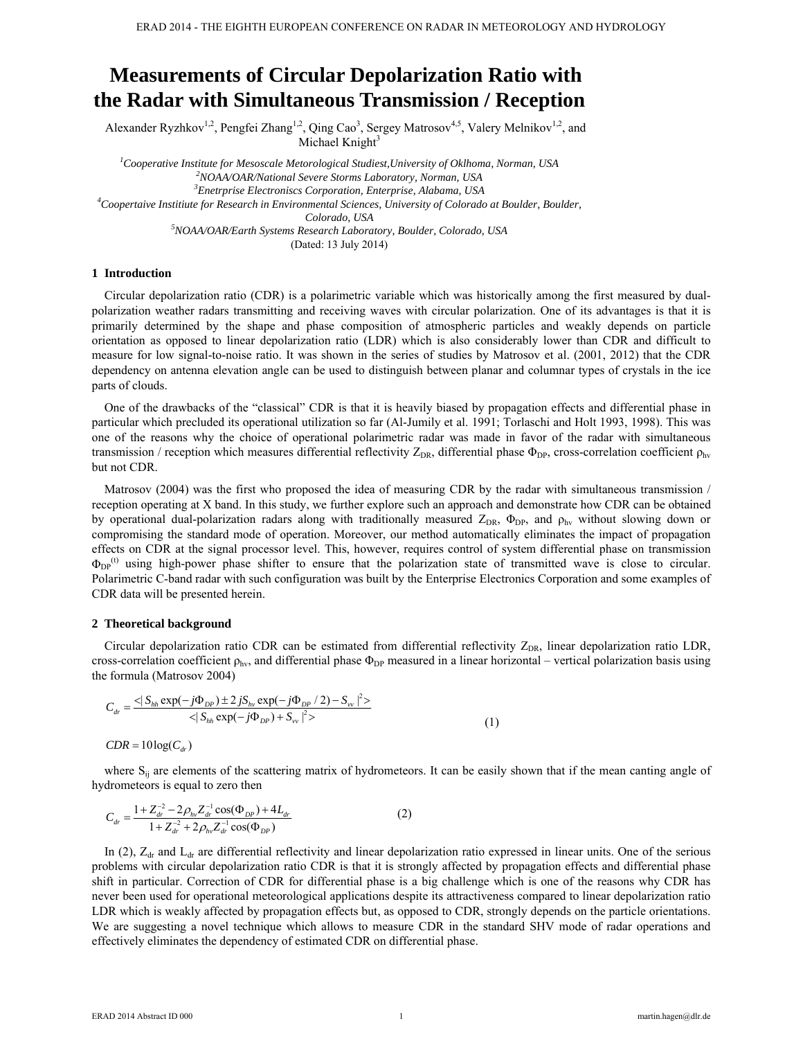# **Measurements of Circular Depolarization Ratio with the Radar with Simultaneous Transmission / Reception**

Alexander Ryzhkov<sup>1,2</sup>, Pengfei Zhang<sup>1,2</sup>, Qing Cao<sup>3</sup>, Sergey Matrosov<sup>4,5</sup>, Valery Melnikov<sup>1,2</sup>, and Michael Knight $3$ 

<sup>1</sup><br>
<sup>1</sup>Cooperative Institute for Mesoscale Metorological Studiest,University of Oklhoma, Norman, USA <sup>2</sup>NOAA/OAB/Mational Sevens Sterme Lebenstery, Norman, ISSA *NOAA/OAR/National Severe Storms Laboratory, Norman, USA 3 Enetrprise Electroniscs Corporation, Enterprise, Alabama, USA 4 Coopertaive Institiute for Research in Environmental Sciences, University of Colorado at Boulder, Boulder, Colorado, USA 5 NOAA/OAR/Earth Systems Research Laboratory, Boulder, Colorado, USA*  (Dated: 13 July 2014)

## **1 Introduction**

Circular depolarization ratio (CDR) is a polarimetric variable which was historically among the first measured by dualpolarization weather radars transmitting and receiving waves with circular polarization. One of its advantages is that it is primarily determined by the shape and phase composition of atmospheric particles and weakly depends on particle orientation as opposed to linear depolarization ratio (LDR) which is also considerably lower than CDR and difficult to measure for low signal-to-noise ratio. It was shown in the series of studies by Matrosov et al. (2001, 2012) that the CDR dependency on antenna elevation angle can be used to distinguish between planar and columnar types of crystals in the ice parts of clouds.

One of the drawbacks of the "classical" CDR is that it is heavily biased by propagation effects and differential phase in particular which precluded its operational utilization so far (Al-Jumily et al. 1991; Torlaschi and Holt 1993, 1998). This was one of the reasons why the choice of operational polarimetric radar was made in favor of the radar with simultaneous transmission / reception which measures differential reflectivity  $Z_{DR}$ , differential phase  $\Phi_{DP}$ , cross-correlation coefficient  $\rho_{hv}$ but not CDR.

Matrosov (2004) was the first who proposed the idea of measuring CDR by the radar with simultaneous transmission / reception operating at X band. In this study, we further explore such an approach and demonstrate how CDR can be obtained by operational dual-polarization radars along with traditionally measured  $Z_{DR}$ ,  $\Phi_{DP}$ , and  $\rho_{hv}$  without slowing down or compromising the standard mode of operation. Moreover, our method automatically eliminates the impact of propagation effects on CDR at the signal processor level. This, however, requires control of system differential phase on transmission  $\Phi_{DP}^{(t)}$  using high-power phase shifter to ensure that the polarization state of transmitted wave is close to circular. Polarimetric C-band radar with such configuration was built by the Enterprise Electronics Corporation and some examples of CDR data will be presented herein.

#### **2 Theoretical background**

 $CDR = 10 \log(C_u)$ 

Circular depolarization ratio CDR can be estimated from differential reflectivity Z<sub>DR</sub>, linear depolarization ratio LDR, cross-correlation coefficient  $\rho_{hv}$ , and differential phase  $\Phi_{DP}$  measured in a linear horizontal – vertical polarization basis using the formula (Matrosov 2004)

$$
C_{dr} = \frac{\langle S_{hh} \exp(-j\Phi_{DP}) \pm 2jS_{hv} \exp(-j\Phi_{DP}/2) - S_{vv}|^2 \rangle}{\langle S_{hh} \exp(-j\Phi_{DP}) + S_{vv}|^2 \rangle} \tag{1}
$$

where S<sub>ij</sub> are elements of the scattering matrix of hydrometeors. It can be easily shown that if the mean canting angle of hydrometeors is equal to zero then

$$
C_{dr} = \frac{1 + Z_{dr}^{-2} - 2\rho_{hv} Z_{dr}^{-1} \cos(\Phi_{DP}) + 4L_{dr}}{1 + Z_{dr}^{-2} + 2\rho_{hv} Z_{dr}^{-1} \cos(\Phi_{DP})}
$$
(2)

In (2),  $Z_{dr}$  and  $L_{dr}$  are differential reflectivity and linear depolarization ratio expressed in linear units. One of the serious problems with circular depolarization ratio CDR is that it is strongly affected by propagation effects and differential phase shift in particular. Correction of CDR for differential phase is a big challenge which is one of the reasons why CDR has never been used for operational meteorological applications despite its attractiveness compared to linear depolarization ratio LDR which is weakly affected by propagation effects but, as opposed to CDR, strongly depends on the particle orientations. We are suggesting a novel technique which allows to measure CDR in the standard SHV mode of radar operations and effectively eliminates the dependency of estimated CDR on differential phase.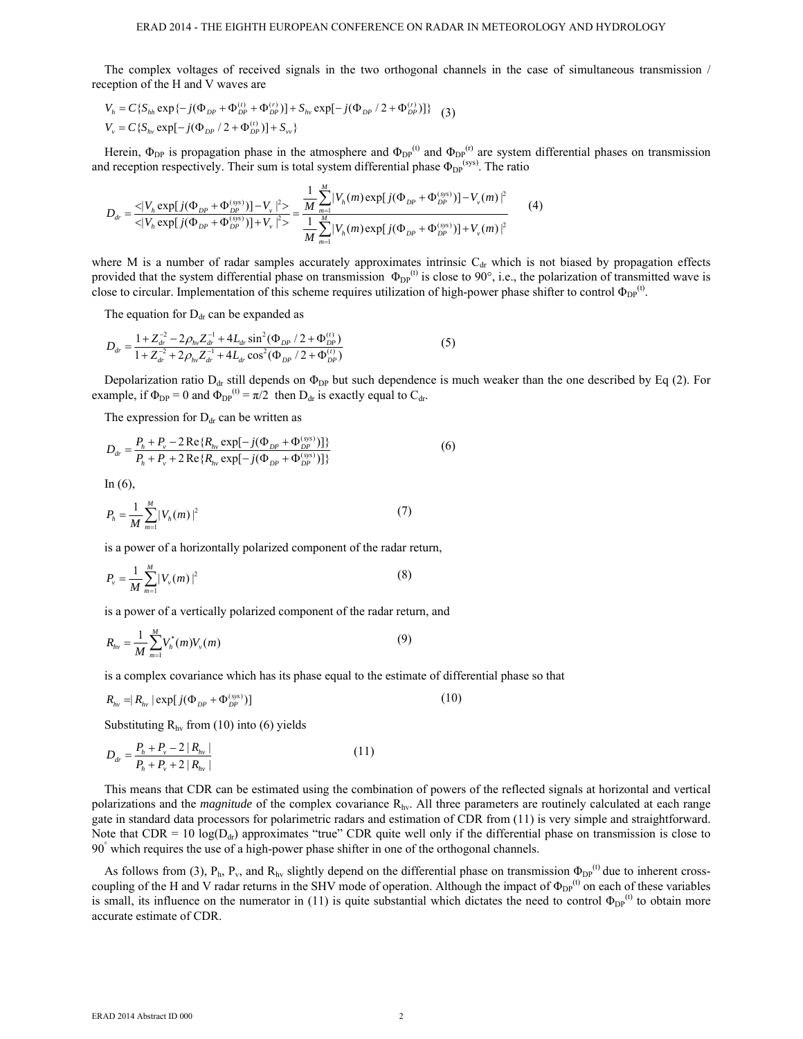The complex voltages of received signals in the two orthogonal channels in the case of simultaneous transmission / reception of the H and V waves are

$$
V_h = C\{S_{hh} \exp\{-j(\Phi_{DP} + \Phi_{DP}^{(t)} + \Phi_{DP}^{(r)})\} + S_{hv} \exp[-j(\Phi_{DP}/2 + \Phi_{DP}^{(r)})]\}
$$
 (3)  

$$
V_v = C\{S_{hv} \exp[-j(\Phi_{DP}/2 + \Phi_{DP}^{(t)})] + S_{vv}\}
$$

Herein,  $\Phi_{DP}$  is propagation phase in the atmosphere and  $\Phi_{DP}^{(t)}$  and  $\Phi_{DP}^{(r)}$  are system differential phases on transmission and reception respectively. Their sum is total system differential phase  $\Phi_{DP}^{\text{(sys)}}$ . The ratio

$$
D_{dr} = \frac{\langle |V_h \exp[j(\Phi_{DP} + \Phi_{DP}^{(sys)})] - V_v |^2 \rangle}{\langle |V_h \exp[j(\Phi_{DP} + \Phi_{DP}^{(sys)})] + V_v |^2 \rangle} = \frac{\frac{1}{M} \sum_{m=1}^{M} |V_h(m) \exp[j(\Phi_{DP} + \Phi_{DP}^{(sys)})] - V_v(m) |^2}{\frac{1}{M} \sum_{m=1}^{M} |V_h(m) \exp[j(\Phi_{DP} + \Phi_{DP}^{(sys)})] + V_v(m) |^2}
$$
(4)

where M is a number of radar samples accurately approximates intrinsic  $C<sub>dr</sub>$  which is not biased by propagation effects provided that the system differential phase on transmission  $\Phi_{DP}^{(t)}$  is close to 90°, i.e., the polarization of transmitted wave is close to circular. Implementation of this scheme requires utilization of high-power phase shifter to control  $\Phi_{DP}^{(t)}$ .

The equation for  $D_{dr}$  can be expanded as

$$
D_{dr} = \frac{1 + Z_{dr}^{-2} - 2\rho_{hv} Z_{dr}^{-1} + 4L_{dr} \sin^2(\Phi_{DP} / 2 + \Phi_{DP}^{(t)})}{1 + Z_{dr}^{-2} + 2\rho_{hv} Z_{dr}^{-1} + 4L_{dr} \cos^2(\Phi_{DP} / 2 + \Phi_{DP}^{(t)})}
$$
(5)

Depolarization ratio  $D_{dr}$  still depends on  $\Phi_{DP}$  but such dependence is much weaker than the one described by Eq (2). For example, if  $\Phi_{DP} = 0$  and  $\Phi_{DP}^{(t)} = \pi/2$  then  $D_{dr}$  is exactly equal to  $C_{dr}$ .

The expression for  $D_{dr}$  can be written as

$$
D_{dr} = \frac{P_h + P_v - 2 \operatorname{Re} \{ R_{hv} \exp[-j(\Phi_{DP} + \Phi_{DP}^{(sys)})] \}}{P_h + P_v + 2 \operatorname{Re} \{ R_{hv} \exp[-j(\Phi_{DP} + \Phi_{DP}^{(sys)})] \}}
$$
(6)

In (6),

$$
P_h = \frac{1}{M} \sum_{m=1}^{M} |V_h(m)|^2
$$
 (7)

is a power of a horizontally polarized component of the radar return,

$$
P_{\nu} = \frac{1}{M} \sum_{m=1}^{M} |V_{\nu}(m)|^2
$$
 (8)

is a power of a vertically polarized component of the radar return, and

$$
R_{hv} = \frac{1}{M} \sum_{m=1}^{M} V_h^*(m) V_v(m)
$$
\n(9)

is a complex covariance which has its phase equal to the estimate of differential phase so that

$$
R_{hv} = |R_{hv}| \exp[j(\Phi_{DP} + \Phi_{DP}^{(sys)})]
$$
 (10)

Substituting  $R_{hv}$  from (10) into (6) yields

$$
D_{dr} = \frac{P_h + P_v - 2 |R_{hv}|}{P_h + P_v + 2 |R_{hv}|}
$$
\n(11)

This means that CDR can be estimated using the combination of powers of the reflected signals at horizontal and vertical polarizations and the *magnitude* of the complex covariance Rhv. All three parameters are routinely calculated at each range gate in standard data processors for polarimetric radars and estimation of CDR from (11) is very simple and straightforward. Note that  $CDR = 10 \log(D_{dr})$  approximates "true" CDR quite well only if the differential phase on transmission is close to 90° which requires the use of a high-power phase shifter in one of the orthogonal channels.

As follows from (3),  $P_h$ ,  $P_v$ , and  $R_{hv}$  slightly depend on the differential phase on transmission  $\Phi_{DP}^{(t)}$  due to inherent crosscoupling of the H and V radar returns in the SHV mode of operation. Although the impact of  $\Phi_{DP}^{(t)}$  on each of these variables is small, its influence on the numerator in (11) is quite substantial which dictates the need to control  $\Phi_{DP}^{(t)}$  to obtain more accurate estimate of CDR.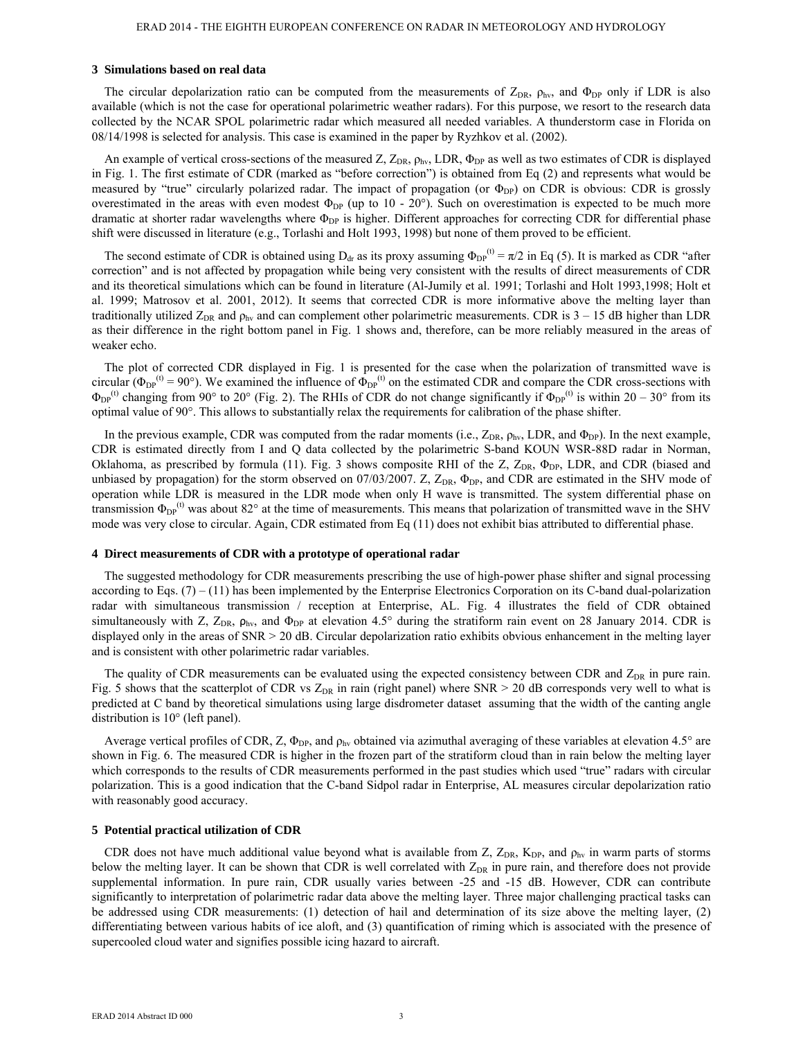### **3 Simulations based on real data**

The circular depolarization ratio can be computed from the measurements of  $Z_{DR}$ ,  $\rho_{hv}$ , and  $\Phi_{DP}$  only if LDR is also available (which is not the case for operational polarimetric weather radars). For this purpose, we resort to the research data collected by the NCAR SPOL polarimetric radar which measured all needed variables. A thunderstorm case in Florida on 08/14/1998 is selected for analysis. This case is examined in the paper by Ryzhkov et al. (2002).

An example of vertical cross-sections of the measured Z,  $Z_{DR}$ ,  $\rho_{hv}$ , LDR,  $\Phi_{DP}$  as well as two estimates of CDR is displayed in Fig. 1. The first estimate of CDR (marked as "before correction") is obtained from Eq (2) and represents what would be measured by "true" circularly polarized radar. The impact of propagation (or  $\Phi_{DP}$ ) on CDR is obvious: CDR is grossly overestimated in the areas with even modest  $\Phi_{DP}$  (up to 10 - 20°). Such on overestimation is expected to be much more dramatic at shorter radar wavelengths where  $\Phi_{DP}$  is higher. Different approaches for correcting CDR for differential phase shift were discussed in literature (e.g., Torlashi and Holt 1993, 1998) but none of them proved to be efficient.

The second estimate of CDR is obtained using  $D_{dr}$  as its proxy assuming  $\Phi_{DP}^{(t)} = \pi/2$  in Eq (5). It is marked as CDR "after correction" and is not affected by propagation while being very consistent with the results of direct measurements of CDR and its theoretical simulations which can be found in literature (Al-Jumily et al. 1991; Torlashi and Holt 1993,1998; Holt et al. 1999; Matrosov et al. 2001, 2012). It seems that corrected CDR is more informative above the melting layer than traditionally utilized  $Z_{DR}$  and  $\rho_{hv}$  and can complement other polarimetric measurements. CDR is  $3 - 15$  dB higher than LDR as their difference in the right bottom panel in Fig. 1 shows and, therefore, can be more reliably measured in the areas of weaker echo.

The plot of corrected CDR displayed in Fig. 1 is presented for the case when the polarization of transmitted wave is circular ( $\Phi_{DP}^{(t)} = 90^{\circ}$ ). We examined the influence of  $\Phi_{DP}^{(t)}$  on the estimated CDR and compare the CDR cross-sections with  $\Phi_{DP}^{(t)}$  changing from 90° to 20° (Fig. 2). The RHIs of CDR do not change significantly if  $\Phi_{DP}^{(t)}$  is within 20 – 30° from its optimal value of 90°. This allows to substantially relax the requirements for calibration of the phase shifter.

In the previous example, CDR was computed from the radar moments (i.e.,  $Z_{DR}$ ,  $\rho_{hv}$ , LDR, and  $\Phi_{DP}$ ). In the next example, CDR is estimated directly from I and Q data collected by the polarimetric S-band KOUN WSR-88D radar in Norman, Oklahoma, as prescribed by formula (11). Fig. 3 shows composite RHI of the Z,  $Z_{DR}$ ,  $\Phi_{DP}$ , LDR, and CDR (biased and unbiased by propagation) for the storm observed on 07/03/2007. Z,  $Z_{DR}$ ,  $\Phi_{DP}$ , and CDR are estimated in the SHV mode of operation while LDR is measured in the LDR mode when only H wave is transmitted. The system differential phase on transmission  $\Phi_{\text{DP}}^{(t)}$  was about 82° at the time of measurements. This means that polarization of transmitted wave in the SHV mode was very close to circular. Again, CDR estimated from Eq (11) does not exhibit bias attributed to differential phase.

## **4 Direct measurements of CDR with a prototype of operational radar**

The suggested methodology for CDR measurements prescribing the use of high-power phase shifter and signal processing according to Eqs.  $(7) - (11)$  has been implemented by the Enterprise Electronics Corporation on its C-band dual-polarization radar with simultaneous transmission / reception at Enterprise, AL. Fig. 4 illustrates the field of CDR obtained simultaneously with Z,  $Z_{DR}$ ,  $\rho_{hv}$ , and  $\Phi_{DP}$  at elevation 4.5° during the stratiform rain event on 28 January 2014. CDR is displayed only in the areas of SNR > 20 dB. Circular depolarization ratio exhibits obvious enhancement in the melting layer and is consistent with other polarimetric radar variables.

The quality of CDR measurements can be evaluated using the expected consistency between CDR and  $Z_{DR}$  in pure rain. Fig. 5 shows that the scatterplot of CDR vs  $Z_{DR}$  in rain (right panel) where SNR > 20 dB corresponds very well to what is predicted at C band by theoretical simulations using large disdrometer dataset assuming that the width of the canting angle distribution is 10° (left panel).

Average vertical profiles of CDR, Z,  $\Phi_{\text{DP}}$ , and  $\rho_{\text{hv}}$  obtained via azimuthal averaging of these variables at elevation 4.5° are shown in Fig. 6. The measured CDR is higher in the frozen part of the stratiform cloud than in rain below the melting layer which corresponds to the results of CDR measurements performed in the past studies which used "true" radars with circular polarization. This is a good indication that the C-band Sidpol radar in Enterprise, AL measures circular depolarization ratio with reasonably good accuracy.

#### **5 Potential practical utilization of CDR**

CDR does not have much additional value beyond what is available from Z,  $Z_{DR}$ ,  $K_{DP}$ , and  $\rho_{hv}$  in warm parts of storms below the melting layer. It can be shown that CDR is well correlated with  $Z_{DR}$  in pure rain, and therefore does not provide supplemental information. In pure rain, CDR usually varies between -25 and -15 dB. However, CDR can contribute significantly to interpretation of polarimetric radar data above the melting layer. Three major challenging practical tasks can be addressed using CDR measurements: (1) detection of hail and determination of its size above the melting layer, (2) differentiating between various habits of ice aloft, and (3) quantification of riming which is associated with the presence of supercooled cloud water and signifies possible icing hazard to aircraft.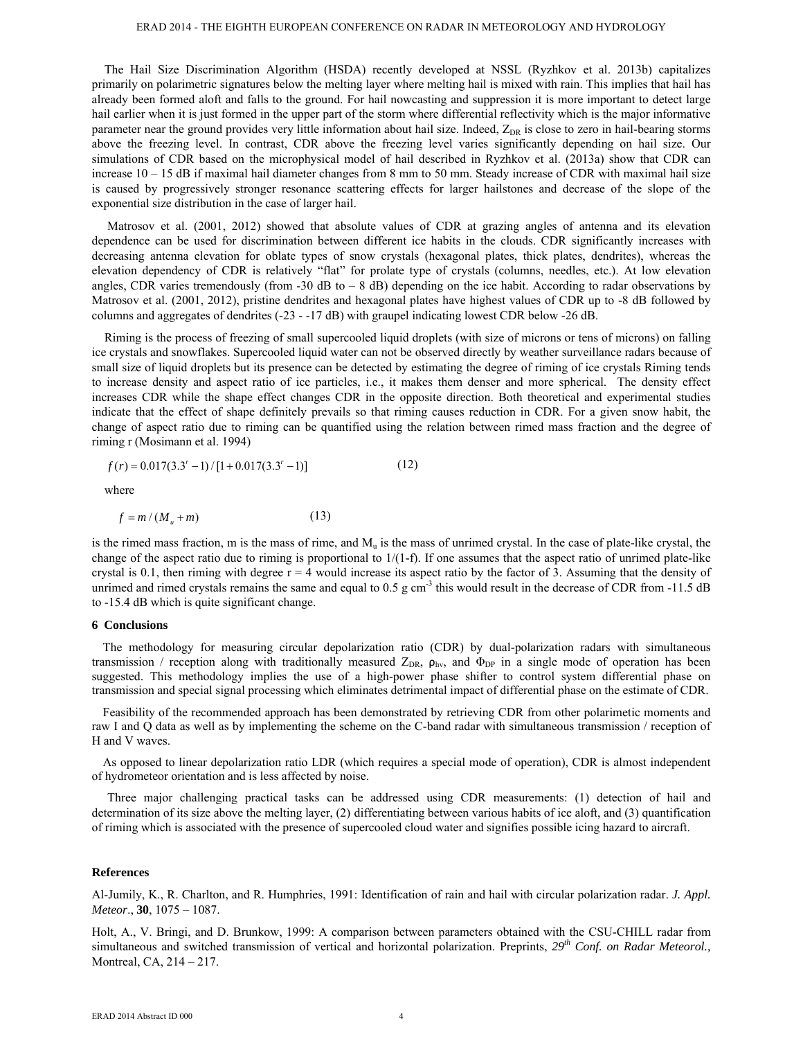The Hail Size Discrimination Algorithm (HSDA) recently developed at NSSL (Ryzhkov et al. 2013b) capitalizes primarily on polarimetric signatures below the melting layer where melting hail is mixed with rain. This implies that hail has already been formed aloft and falls to the ground. For hail nowcasting and suppression it is more important to detect large hail earlier when it is just formed in the upper part of the storm where differential reflectivity which is the major informative parameter near the ground provides very little information about hail size. Indeed, Z<sub>DR</sub> is close to zero in hail-bearing storms above the freezing level. In contrast, CDR above the freezing level varies significantly depending on hail size. Our simulations of CDR based on the microphysical model of hail described in Ryzhkov et al. (2013a) show that CDR can increase 10 – 15 dB if maximal hail diameter changes from 8 mm to 50 mm. Steady increase of CDR with maximal hail size is caused by progressively stronger resonance scattering effects for larger hailstones and decrease of the slope of the exponential size distribution in the case of larger hail.

 Matrosov et al. (2001, 2012) showed that absolute values of CDR at grazing angles of antenna and its elevation dependence can be used for discrimination between different ice habits in the clouds. CDR significantly increases with decreasing antenna elevation for oblate types of snow crystals (hexagonal plates, thick plates, dendrites), whereas the elevation dependency of CDR is relatively "flat" for prolate type of crystals (columns, needles, etc.). At low elevation angles, CDR varies tremendously (from -30 dB to  $-$  8 dB) depending on the ice habit. According to radar observations by Matrosov et al. (2001, 2012), pristine dendrites and hexagonal plates have highest values of CDR up to -8 dB followed by columns and aggregates of dendrites (-23 - -17 dB) with graupel indicating lowest CDR below -26 dB.

Riming is the process of freezing of small supercooled liquid droplets (with size of microns or tens of microns) on falling ice crystals and snowflakes. Supercooled liquid water can not be observed directly by weather surveillance radars because of small size of liquid droplets but its presence can be detected by estimating the degree of riming of ice crystals Riming tends to increase density and aspect ratio of ice particles, i.e., it makes them denser and more spherical. The density effect increases CDR while the shape effect changes CDR in the opposite direction. Both theoretical and experimental studies indicate that the effect of shape definitely prevails so that riming causes reduction in CDR. For a given snow habit, the change of aspect ratio due to riming can be quantified using the relation between rimed mass fraction and the degree of riming r (Mosimann et al. 1994)

$$
f(r) = 0.017(3.3r - 1)/[1 + 0.017(3.3r - 1)]
$$
 (12)

where

$$
f = m / (M_u + m) \tag{13}
$$

is the rimed mass fraction, m is the mass of rime, and  $M<sub>u</sub>$  is the mass of unrimed crystal. In the case of plate-like crystal, the change of the aspect ratio due to riming is proportional to  $1/(1-f)$ . If one assumes that the aspect ratio of unrimed plate-like crystal is 0.1, then riming with degree  $r = 4$  would increase its aspect ratio by the factor of 3. Assuming that the density of unrimed and rimed crystals remains the same and equal to  $0.5 \text{ g cm}^{-3}$  this would result in the decrease of CDR from -11.5 dB to -15.4 dB which is quite significant change.

#### **6 Conclusions**

The methodology for measuring circular depolarization ratio (CDR) by dual-polarization radars with simultaneous transmission / reception along with traditionally measured  $Z_{DR}$ ,  $\rho_{hv}$ , and  $\Phi_{DP}$  in a single mode of operation has been suggested. This methodology implies the use of a high-power phase shifter to control system differential phase on transmission and special signal processing which eliminates detrimental impact of differential phase on the estimate of CDR.

Feasibility of the recommended approach has been demonstrated by retrieving CDR from other polarimetic moments and raw I and Q data as well as by implementing the scheme on the C-band radar with simultaneous transmission / reception of H and V waves.

As opposed to linear depolarization ratio LDR (which requires a special mode of operation), CDR is almost independent of hydrometeor orientation and is less affected by noise.

 Three major challenging practical tasks can be addressed using CDR measurements: (1) detection of hail and determination of its size above the melting layer, (2) differentiating between various habits of ice aloft, and (3) quantification of riming which is associated with the presence of supercooled cloud water and signifies possible icing hazard to aircraft.

## **References**

Al-Jumily, K., R. Charlton, and R. Humphries, 1991: Identification of rain and hail with circular polarization radar. *J. Appl. Meteor*., **30**, 1075 – 1087.

Holt, A., V. Bringi, and D. Brunkow, 1999: A comparison between parameters obtained with the CSU-CHILL radar from simultaneous and switched transmission of vertical and horizontal polarization. Preprints, *29th Conf. on Radar Meteorol.,* Montreal, CA, 214 – 217.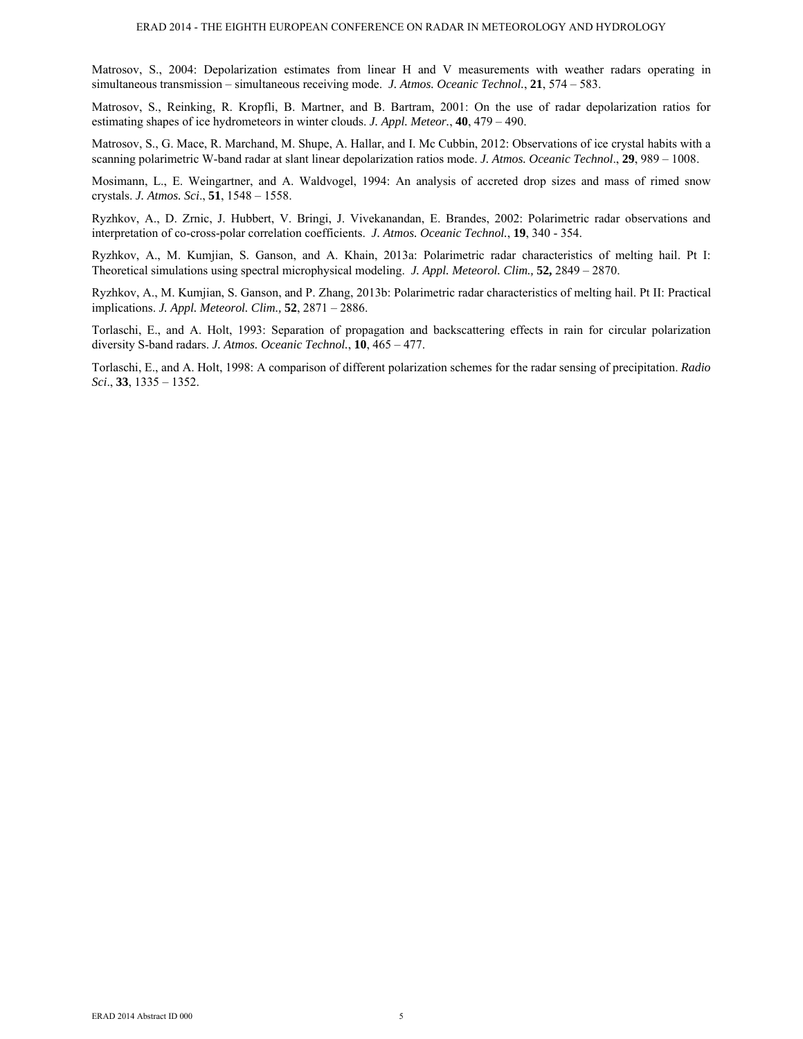Matrosov, S., 2004: Depolarization estimates from linear H and V measurements with weather radars operating in simultaneous transmission – simultaneous receiving mode. *J. Atmos. Oceanic Technol.*, **21**, 574 – 583.

Matrosov, S., Reinking, R. Kropfli, B. Martner, and B. Bartram, 2001: On the use of radar depolarization ratios for estimating shapes of ice hydrometeors in winter clouds. *J. Appl. Meteor.*, **40**, 479 – 490.

Matrosov, S., G. Mace, R. Marchand, M. Shupe, A. Hallar, and I. Mc Cubbin, 2012: Observations of ice crystal habits with a scanning polarimetric W-band radar at slant linear depolarization ratios mode. *J. Atmos. Oceanic Technol*., **29**, 989 – 1008.

Mosimann, L., E. Weingartner, and A. Waldvogel, 1994: An analysis of accreted drop sizes and mass of rimed snow crystals. *J. Atmos. Sci*., **51**, 1548 – 1558.

Ryzhkov, A., D. Zrnic, J. Hubbert, V. Bringi, J. Vivekanandan, E. Brandes, 2002: Polarimetric radar observations and interpretation of co-cross-polar correlation coefficients. *J. Atmos. Oceanic Technol.*, **19**, 340 - 354.

Ryzhkov, A., M. Kumjian, S. Ganson, and A. Khain, 2013a: Polarimetric radar characteristics of melting hail. Pt I: Theoretical simulations using spectral microphysical modeling. *J. Appl. Meteorol. Clim.,* **52,** 2849 – 2870.

Ryzhkov, A., M. Kumjian, S. Ganson, and P. Zhang, 2013b: Polarimetric radar characteristics of melting hail. Pt II: Practical implications. *J. Appl. Meteorol. Clim.,* **52**, 2871 – 2886.

Torlaschi, E., and A. Holt, 1993: Separation of propagation and backscattering effects in rain for circular polarization diversity S-band radars. *J. Atmos. Oceanic Technol.*, **10**, 465 – 477.

Torlaschi, E., and A. Holt, 1998: A comparison of different polarization schemes for the radar sensing of precipitation. *Radio Sci*., **33**, 1335 – 1352.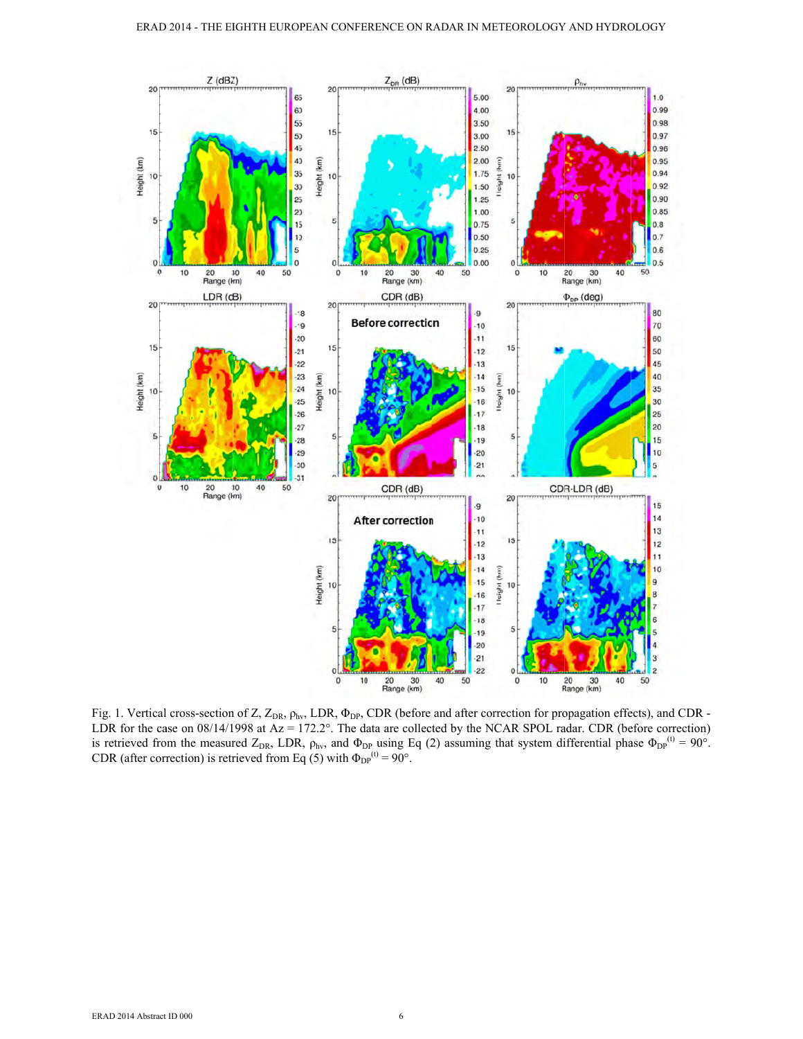

Fig. 1. Vertical cross-section of Z,  $Z_{DR}$ ,  $\rho_{hv}$ , LDR,  $\Phi_{DP}$ , CDR (before and after correction for propagation effects), and CDR -LDR for the case on  $08/14/1998$  at  $Az = 172.2^{\circ}$ . The data are collected by the NCAR SPOL radar. CDR (before correction) is retrieved from the measured  $Z_{DR}$ , LDR,  $\rho_{hv}$ , and  $\Phi_{DP}$  using Eq (2) assuming that system differential phase  $\Phi_{DP}^{(0)} = 90^{\circ}$ .<br>CDR (after correction) is retrieved from Eq (5) with  $\Phi_{DP}^{(0)} = 90^{\circ}$ .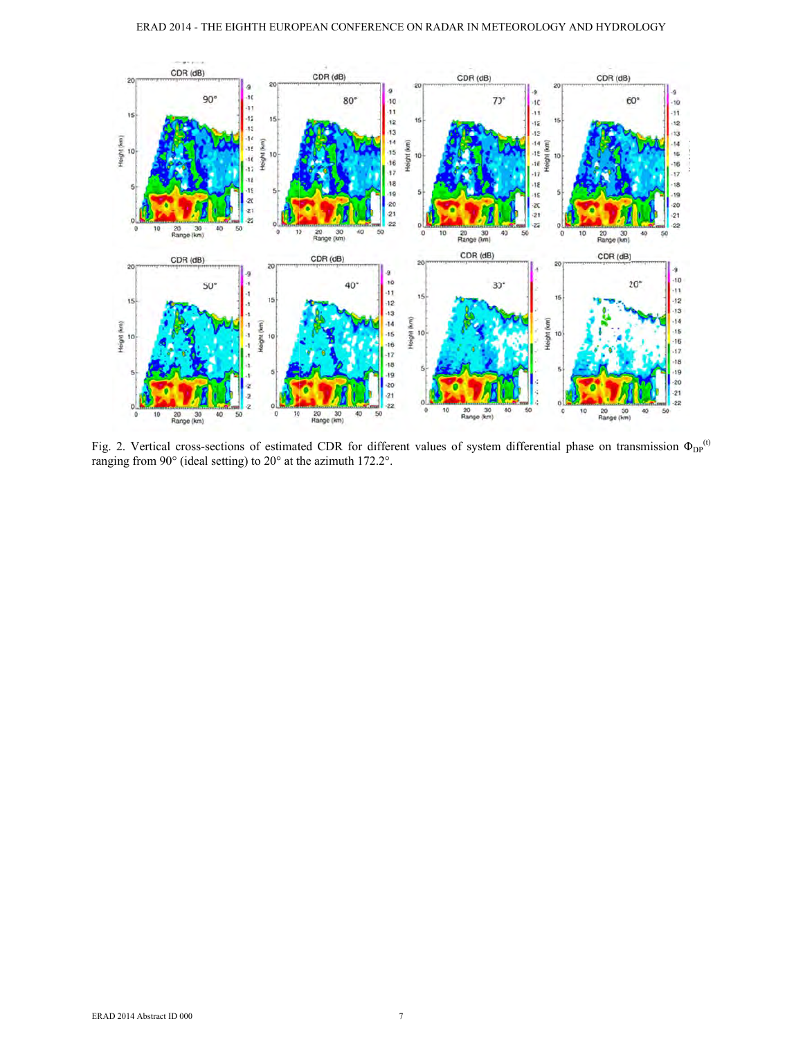

Fig. 2. Vertical cross-sections of estimated CDR for different values of system differential phase on transmission  $\Phi_{DP}^{(t)}$ ranging from 90° (ideal setting) to 20° at the azimuth 172.2°.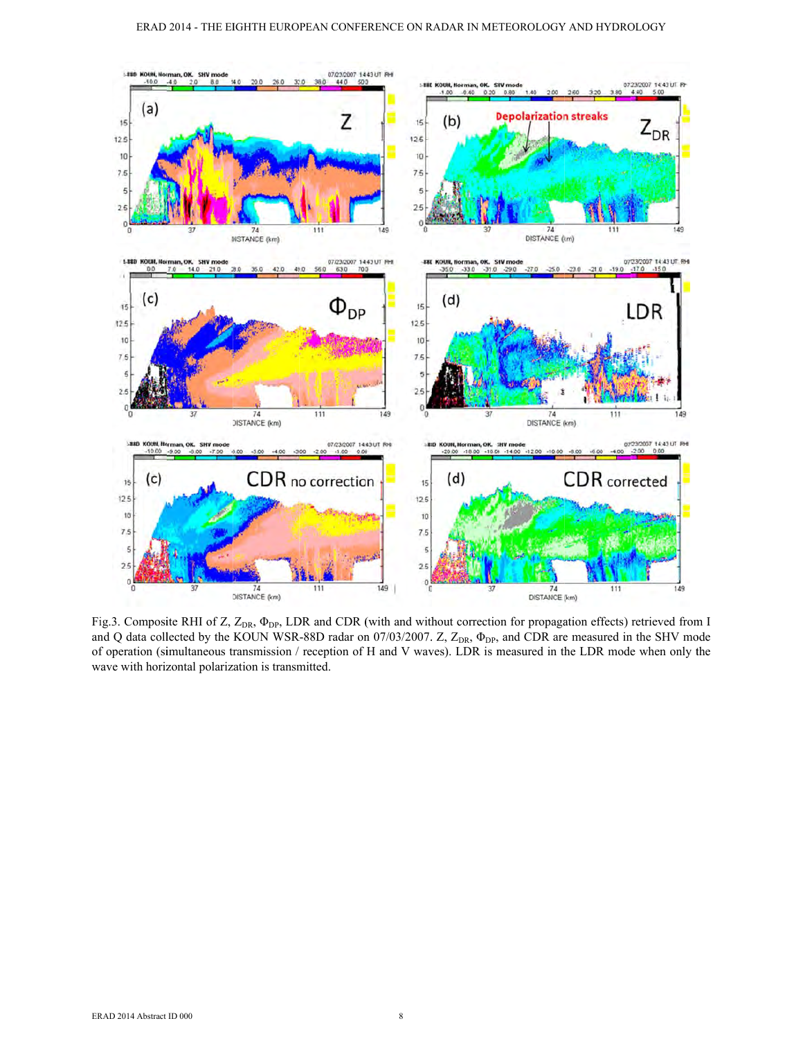

Fig.3. Composite RHI of Z, Z<sub>DR</sub>,  $\Phi_{DP}$ , LDR and CDR (with and without correction for propagation effects) retrieved from I and Q data collected by the KOUN WSR-88D radar on 07/03/2007. Z, Z<sub>DR</sub>,  $\Phi_{DP}$ , and CDR are measured in the SHV mode of operation (simultaneous transmission / reception of H and V waves). LDR is measured in the LDR mode when only the wave with horizontal polarization is transmitted.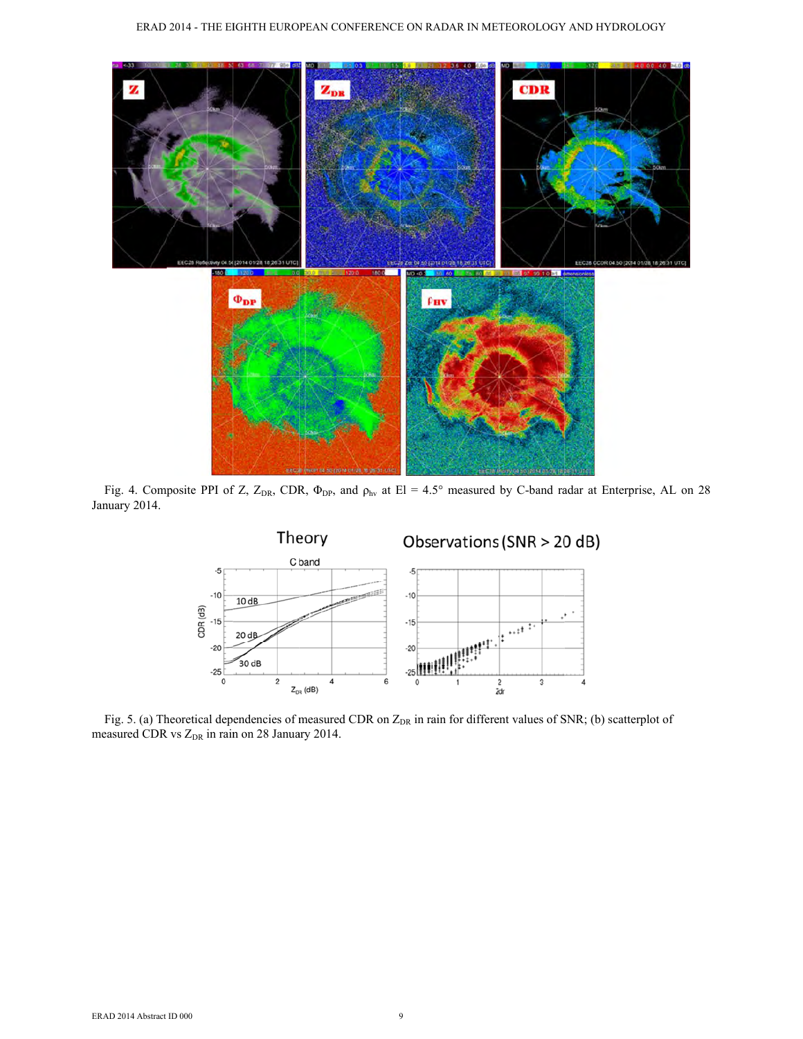

Fig. 4. Composite PPI of Z, Z<sub>DR</sub>, CDR,  $\Phi_{DP}$ , and  $\rho_{hv}$  at El = 4.5° measured by C-band radar at Enterprise, AL on 28 January 2014.



Fig. 5. (a) Theoretical dependencies of measured CDR on Z<sub>DR</sub> in rain for different values of SNR; (b) scatterplot of measured CDR vs Z<sub>DR</sub> in rain on 28 January 2014.